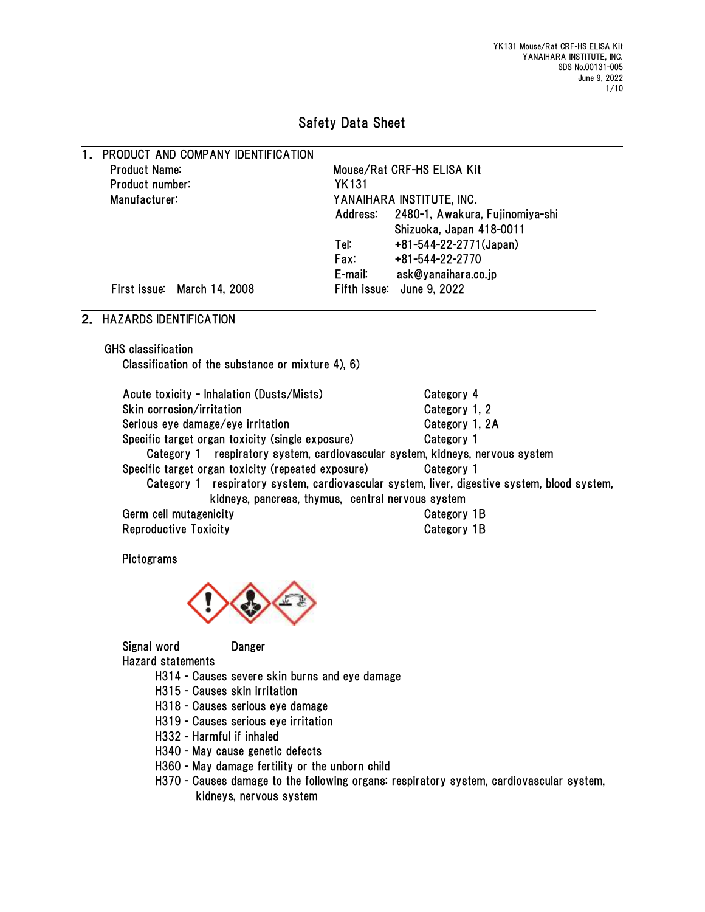# Safety Data Sheet

| 1. PRODUCT AND COMPANY IDENTIFICATION |                           |                                 |  |  |
|---------------------------------------|---------------------------|---------------------------------|--|--|
| Product Name:                         |                           | Mouse/Rat CRF-HS ELISA Kit      |  |  |
| Product number:                       | <b>YK131</b>              |                                 |  |  |
| Manufacturer:                         | YANAIHARA INSTITUTE, INC. |                                 |  |  |
|                                       | Address:                  | 2480-1, Awakura, Fujinomiya-shi |  |  |
|                                       |                           | Shizuoka, Japan 418-0011        |  |  |
|                                       | Tel:                      | +81-544-22-2771(Japan)          |  |  |
|                                       | <b>Fax:</b>               | +81-544-22-2770                 |  |  |
|                                       | E-mail:                   | ask@yanaihara.co.jp             |  |  |
| First issue: March 14, 2008           |                           | Fifth issue: June 9, 2022       |  |  |

# 2. HAZARDS IDENTIFICATION

GHS classification

Classification of the substance or mixture 4), 6)

| Acute toxicity - Inhalation (Dusts/Mists)                                                    | Category 4     |
|----------------------------------------------------------------------------------------------|----------------|
| Skin corrosion/irritation                                                                    | Category 1, 2  |
| Serious eye damage/eye irritation                                                            | Category 1, 2A |
| Specific target organ toxicity (single exposure)                                             | Category 1     |
| Category 1 respiratory system, cardiovascular system, kidneys, nervous system                |                |
| Specific target organ toxicity (repeated exposure)                                           | Category 1     |
| Category 1 respiratory system, cardiovascular system, liver, digestive system, blood system, |                |
| kidneys, pancreas, thymus, central nervous system                                            |                |
| Germ cell mutagenicity                                                                       | Category 1B    |
| <b>Reproductive Toxicity</b>                                                                 | Category 1B    |

Pictograms



Signal word Danger Hazard statements

- H314 Causes severe skin burns and eye damage
- H315 Causes skin irritation
- H318 Causes serious eye damage
- H319 Causes serious eye irritation
- H332 Harmful if inhaled
- H340 May cause genetic defects
- H360 May damage fertility or the unborn child
- H370 Causes damage to the following organs: respiratory system, cardiovascular system, kidneys, nervous system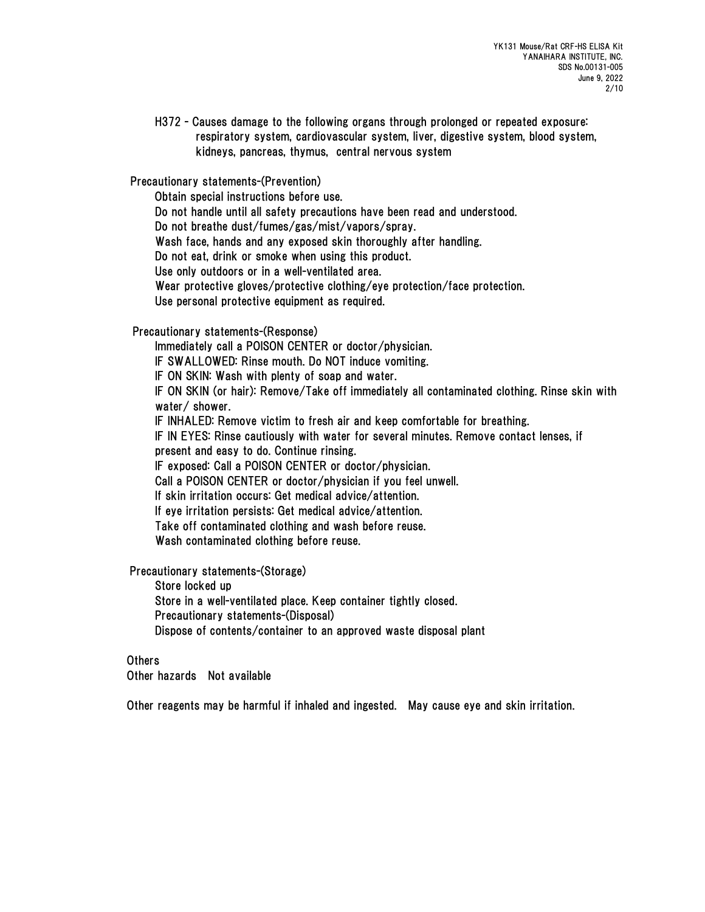H372 - Causes damage to the following organs through prolonged or repeated exposure: respiratory system, cardiovascular system, liver, digestive system, blood system, kidneys, pancreas, thymus, central nervous system

Precautionary statements-(Prevention)

Obtain special instructions before use.

Do not handle until all safety precautions have been read and understood.

Do not breathe dust/fumes/gas/mist/vapors/spray.

Wash face, hands and any exposed skin thoroughly after handling.

Do not eat, drink or smoke when using this product.

Use only outdoors or in a well-ventilated area.

Wear protective gloves/protective clothing/eye protection/face protection.

Use personal protective equipment as required.

Precautionary statements-(Response)

Immediately call a POISON CENTER or doctor/physician.

IF SWALLOWED: Rinse mouth. Do NOT induce vomiting.

IF ON SKIN: Wash with plenty of soap and water.

IF ON SKIN (or hair): Remove/Take off immediately all contaminated clothing. Rinse skin with water/ shower.

IF INHALED: Remove victim to fresh air and keep comfortable for breathing.

IF IN EYES: Rinse cautiously with water for several minutes. Remove contact lenses, if

present and easy to do. Continue rinsing.

IF exposed: Call a POISON CENTER or doctor/physician.

Call a POISON CENTER or doctor/physician if you feel unwell.

If skin irritation occurs: Get medical advice/attention.

If eye irritation persists: Get medical advice/attention.

Take off contaminated clothing and wash before reuse.

Wash contaminated clothing before reuse.

Precautionary statements-(Storage)

Store locked up

Store in a well-ventilated place. Keep container tightly closed.

Precautionary statements-(Disposal)

Dispose of contents/container to an approved waste disposal plant

Others

Other hazards Not available

Other reagents may be harmful if inhaled and ingested. May cause eye and skin irritation.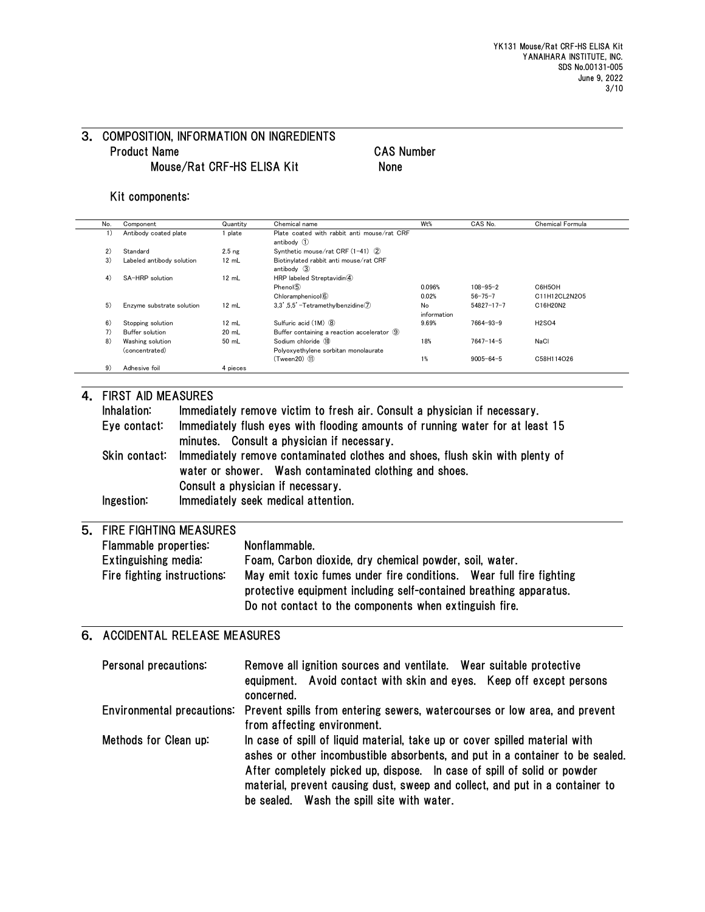# 3. COMPOSITION, INFORMATION ON INGREDIENTS Product Name CAS Number Mouse/Rat CRF-HS ELISA Kit None

## Kit components:

| No. | Component                 | Quantity          | Chemical name                                | W <sub>t</sub> % | CAS No.          | Chemical Formula |
|-----|---------------------------|-------------------|----------------------------------------------|------------------|------------------|------------------|
| 1)  | Antibody coated plate     | plate             | Plate coated with rabbit anti mouse/rat CRF  |                  |                  |                  |
|     |                           |                   | antibody $(1)$                               |                  |                  |                  |
| 2)  | Standard                  | 2.5 <sub>ng</sub> | Synthetic mouse/rat CRF (1-41) (2)           |                  |                  |                  |
| 3)  | Labeled antibody solution | 12 mL             | Biotinvlated rabbit anti mouse/rat CRF       |                  |                  |                  |
|     |                           |                   | antibody $(3)$                               |                  |                  |                  |
| 4)  | SA-HRP solution           | 12 mL             | HRP labeled Streptavidin(4)                  |                  |                  |                  |
|     |                           |                   | Phenol(5)                                    | 0.096%           | $108 - 95 - 2$   | C6H5OH           |
|     |                           |                   | Chloramphenicol <sup>6</sup>                 | 0.02%            | $56 - 75 - 7$    | C11H12CL2N2O5    |
| 5)  | Enzyme substrate solution | 12 mL             | $3.3'$ , $5.5'$ -Tetramethylbenzidine $(7)$  | No               | $54827 - 17 - 7$ | C16H20N2         |
|     |                           |                   |                                              | information      |                  |                  |
| 6)  | Stopping solution         | 12 mL             | Sulfuric acid (1M) 8                         | 9.69%            | $7664 - 93 - 9$  | <b>H2SO4</b>     |
| 7)  | Buffer solution           | $20$ mL           | Buffer containing a reaction accelerator (9) |                  |                  |                  |
| 8)  | Washing solution          | 50 mL             | Sodium chloride 10                           | 18%              | $7647 - 14 - 5$  | NaCl             |
|     | (concentrated)            |                   | Polvoxvethylene sorbitan monolaurate         |                  |                  |                  |
|     |                           |                   | $(Tween 20)$ $(1)$                           | 1%               | $9005 - 64 - 5$  | C58H114O26       |
| 9)  | Adhesive foil             | 4 pieces          |                                              |                  |                  |                  |

## 4. FIRST AID MEASURES

| Inhalation:  | Immediately remove victim to fresh air. Consult a physician if necessary.                                                                            |
|--------------|------------------------------------------------------------------------------------------------------------------------------------------------------|
| Eye contact: | Immediately flush eyes with flooding amounts of running water for at least 15                                                                        |
|              | minutes. Consult a physician if necessary.                                                                                                           |
|              | Skin contact: Immediately remove contaminated clothes and shoes, flush skin with plenty of<br>water or shower. Wash contaminated clothing and shoes. |
|              | Consult a physician if necessary.                                                                                                                    |
| Ingestion:   | Immediately seek medical attention.                                                                                                                  |

## 5. FIRE FIGHTING MEASURES

| Flammable properties:       | Nonflammable.                                                       |
|-----------------------------|---------------------------------------------------------------------|
| Extinguishing media:        | Foam, Carbon dioxide, dry chemical powder, soil, water.             |
| Fire fighting instructions: | May emit toxic fumes under fire conditions. Wear full fire fighting |
|                             | protective equipment including self-contained breathing apparatus.  |
|                             | Do not contact to the components when extinguish fire.              |

# 6. ACCIDENTAL RELEASE MEASURES

| Personal precautions: | Remove all ignition sources and ventilate. Wear suitable protective<br>equipment. Avoid contact with skin and eyes. Keep off except persons<br>concerned.                                                                                                                                                                                                              |
|-----------------------|------------------------------------------------------------------------------------------------------------------------------------------------------------------------------------------------------------------------------------------------------------------------------------------------------------------------------------------------------------------------|
|                       | Environmental precautions: Prevent spills from entering sewers, watercourses or low area, and prevent<br>from affecting environment.                                                                                                                                                                                                                                   |
| Methods for Clean up: | In case of spill of liquid material, take up or cover spilled material with<br>ashes or other incombustible absorbents, and put in a container to be sealed.<br>After completely picked up, dispose. In case of spill of solid or powder<br>material, prevent causing dust, sweep and collect, and put in a container to<br>be sealed. Wash the spill site with water. |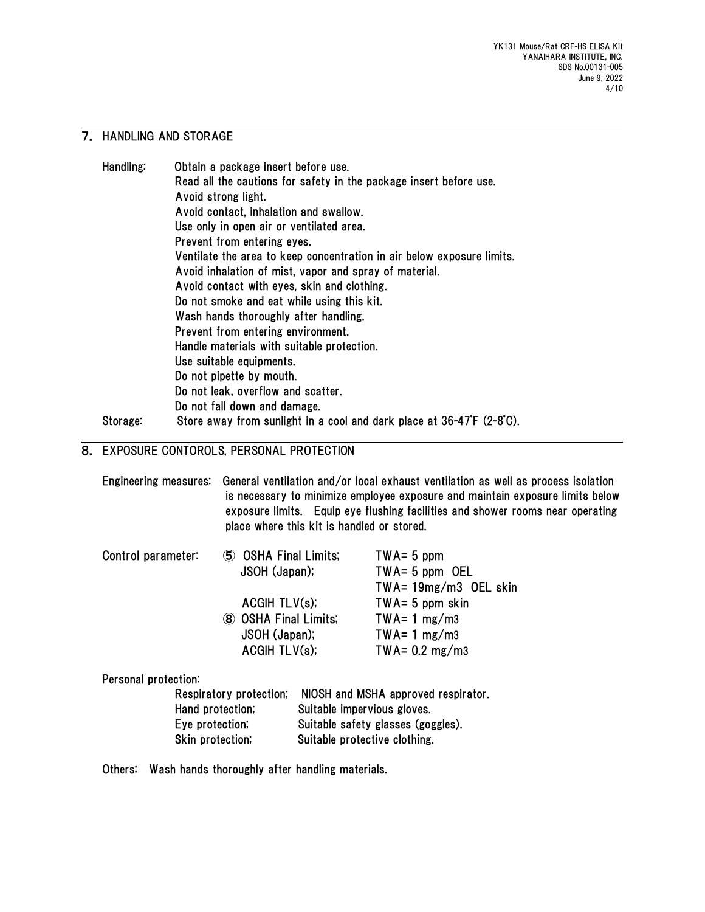## 7. HANDLING AND STORAGE

| Handling: | Obtain a package insert before use.                                    |
|-----------|------------------------------------------------------------------------|
|           | Read all the cautions for safety in the package insert before use.     |
|           | Avoid strong light.                                                    |
|           | Avoid contact, inhalation and swallow.                                 |
|           | Use only in open air or ventilated area.                               |
|           | Prevent from entering eyes.                                            |
|           | Ventilate the area to keep concentration in air below exposure limits. |
|           | Avoid inhalation of mist, vapor and spray of material.                 |
|           | Avoid contact with eyes, skin and clothing.                            |
|           | Do not smoke and eat while using this kit.                             |
|           | Wash hands thoroughly after handling.                                  |
|           | Prevent from entering environment.                                     |
|           | Handle materials with suitable protection.                             |
|           | Use suitable equipments.                                               |
|           | Do not pipette by mouth.                                               |
|           | Do not leak, overflow and scatter.                                     |
|           | Do not fall down and damage.                                           |
| Storage:  | Store away from sunlight in a cool and dark place at 36-47°F (2-8°C).  |

# 8. EXPOSURE CONTOROLS, PERSONAL PROTECTION

|                      | place where this kit is handled or stored. |                                    | Engineering measures: General ventilation and/or local exhaust ventilation as well as process isolation<br>is necessary to minimize employee exposure and maintain exposure limits below<br>exposure limits. Equip eye flushing facilities and shower rooms near operating |  |  |
|----------------------|--------------------------------------------|------------------------------------|----------------------------------------------------------------------------------------------------------------------------------------------------------------------------------------------------------------------------------------------------------------------------|--|--|
| Control parameter:   | 5 OSHA Final Limits;                       |                                    | $TWA = 5$ ppm                                                                                                                                                                                                                                                              |  |  |
|                      | JSOH (Japan);                              |                                    | $TWA = 5$ ppm OEL                                                                                                                                                                                                                                                          |  |  |
|                      | ACGHTLV(s);                                |                                    | $TWA = 19mg/m3$ OEL skin                                                                                                                                                                                                                                                   |  |  |
|                      |                                            |                                    | $TWA = 5$ ppm skin                                                                                                                                                                                                                                                         |  |  |
|                      | 8 OSHA Final Limits;                       |                                    | $TWA = 1 mg/m3$                                                                                                                                                                                                                                                            |  |  |
|                      | JSOH (Japan);<br>ACGHTLV(s);               |                                    | $TWA = 1 mg/m3$                                                                                                                                                                                                                                                            |  |  |
|                      |                                            |                                    | $TWA = 0.2$ mg/m3                                                                                                                                                                                                                                                          |  |  |
| Personal protection: |                                            |                                    |                                                                                                                                                                                                                                                                            |  |  |
|                      | Respiratory protection;                    |                                    | NIOSH and MSHA approved respirator.                                                                                                                                                                                                                                        |  |  |
|                      | Hand protection;                           | Suitable impervious gloves.        |                                                                                                                                                                                                                                                                            |  |  |
| Eye protection,      |                                            | Suitable safety glasses (goggles). |                                                                                                                                                                                                                                                                            |  |  |
|                      | Skin protection;                           |                                    | Suitable protective clothing.                                                                                                                                                                                                                                              |  |  |

Others: Wash hands thoroughly after handling materials.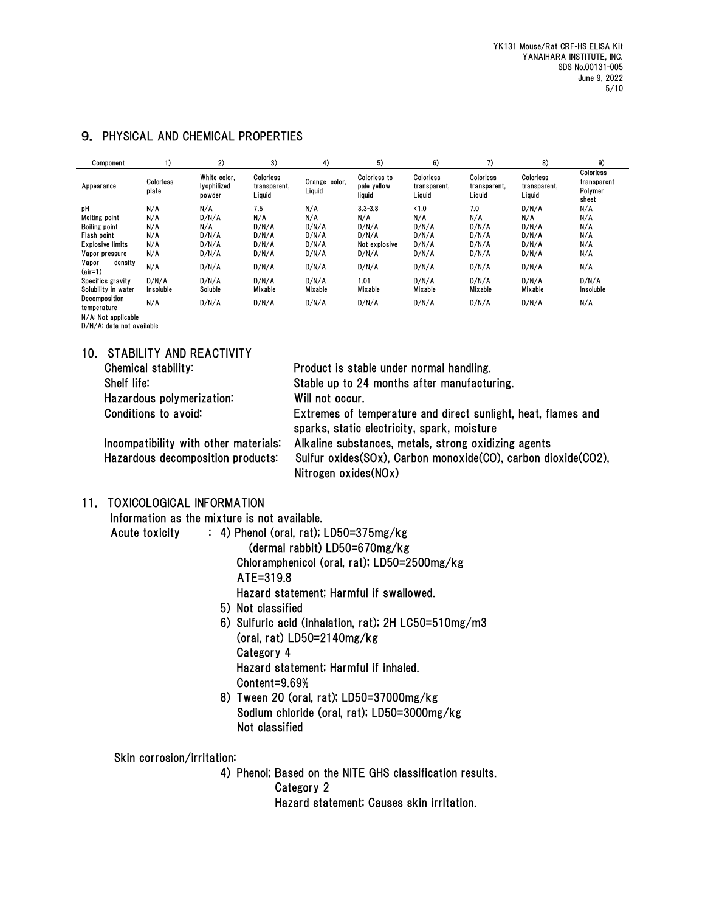| Component                                                                                                                                                                                                                                                                                                                                     | 1)                                                                       | 2)                                                                                                                                                | 3)                                             | 4)                                                                                                                                                                                                                                                                                                                                                                          | 5)                                                             | 6)                                               | 7)                                             | 8)                                               | 9)                                           |
|-----------------------------------------------------------------------------------------------------------------------------------------------------------------------------------------------------------------------------------------------------------------------------------------------------------------------------------------------|--------------------------------------------------------------------------|---------------------------------------------------------------------------------------------------------------------------------------------------|------------------------------------------------|-----------------------------------------------------------------------------------------------------------------------------------------------------------------------------------------------------------------------------------------------------------------------------------------------------------------------------------------------------------------------------|----------------------------------------------------------------|--------------------------------------------------|------------------------------------------------|--------------------------------------------------|----------------------------------------------|
| Appearance                                                                                                                                                                                                                                                                                                                                    | Colorless<br>plate                                                       | White color,<br>Ivophilized<br>powder                                                                                                             | Colorless<br>transparent,<br>Liquid            | Orange color,<br>Liquid                                                                                                                                                                                                                                                                                                                                                     | Colorless to<br>pale yellow<br>liquid                          | Colorless<br>transparent,<br>Liquid              | Colorless<br>transparent,<br>Liquid            | Colorless<br>transparent,<br>Liquid              | Colorless<br>transparent<br>Polymer<br>sheet |
| рH<br><b>Melting point</b><br><b>Boiling point</b><br>Flash point<br>Explosive limits<br>Vapor pressure                                                                                                                                                                                                                                       | N/A<br>N/A<br>N/A<br>N/A<br>N/A<br>N/A                                   | N/A<br>D/N/A<br>N/A<br>D/N/A<br>D/N/A<br>D/N/A                                                                                                    | 7.5<br>N/A<br>D/N/A<br>D/N/A<br>D/N/A<br>D/N/A | N/A<br>N/A<br>D/N/A<br>D/N/A<br>D/N/A<br>D/N/A                                                                                                                                                                                                                                                                                                                              | $3.3 - 3.8$<br>N/A<br>D/N/A<br>D/N/A<br>Not explosive<br>D/N/A | < 1.0<br>N/A<br>D/N/A<br>D/N/A<br>D/N/A<br>D/N/A | 7.0<br>N/A<br>D/N/A<br>D/N/A<br>D/N/A<br>D/N/A | D/N/A<br>N/A<br>D/N/A<br>D/N/A<br>D/N/A<br>D/N/A | N/A<br>N/A<br>N/A<br>N/A<br>N/A<br>N/A       |
| Vapor<br>density<br>$(air=1)$                                                                                                                                                                                                                                                                                                                 | N/A                                                                      | D/N/A                                                                                                                                             | D/N/A                                          | D/N/A                                                                                                                                                                                                                                                                                                                                                                       | D/N/A                                                          | D/N/A                                            | D/N/A                                          | D/N/A                                            | N/A                                          |
| Specifics gravity<br>Solubility in water                                                                                                                                                                                                                                                                                                      | D/N/A<br>Insoluble                                                       | D/N/A<br>Soluble                                                                                                                                  | D/N/A<br>Mixable                               | D/N/A<br>Mixable                                                                                                                                                                                                                                                                                                                                                            | 1.01<br>Mixable                                                | D/N/A<br>Mixable                                 | D/N/A<br>Mixable                               | D/N/A<br>Mixable                                 | D/N/A<br>Insoluble                           |
| Decomposition<br>temperature                                                                                                                                                                                                                                                                                                                  | N/A                                                                      | D/N/A                                                                                                                                             | D/N/A                                          | D/N/A                                                                                                                                                                                                                                                                                                                                                                       | D/N/A                                                          | D/N/A                                            | D/N/A                                          | D/N/A                                            | N/A                                          |
| N/A: Not applicable<br>D/N/A: data not available                                                                                                                                                                                                                                                                                              |                                                                          |                                                                                                                                                   |                                                |                                                                                                                                                                                                                                                                                                                                                                             |                                                                |                                                  |                                                |                                                  |                                              |
| 10.<br>Shelf life:                                                                                                                                                                                                                                                                                                                            | Chemical stability:<br>Hazardous polymerization:<br>Conditions to avoid: | STABILITY AND REACTIVITY<br>Incompatibility with other materials:<br>Hazardous decomposition products:                                            |                                                | Product is stable under normal handling.<br>Stable up to 24 months after manufacturing.<br>Will not occur.<br>Extremes of temperature and direct sunlight, heat, flames and<br>sparks, static electricity, spark, moisture<br>Alkaline substances, metals, strong oxidizing agents<br>Sulfur oxides(SOx), Carbon monoxide(CO), carbon dioxide(CO2),<br>Nitrogen oxides(NOx) |                                                                |                                                  |                                                |                                                  |                                              |
| <b>TOXICOLOGICAL INFORMATION</b><br>11.<br>Information as the mixture is not available.<br>$: 4$ ) Phenol (oral, rat); LD50=375mg/kg<br>Acute toxicity<br>ATE=319.8<br>5) Not classified<br>6) Sulfuric acid (inhalation, rat); 2H LC50=510mg/m3<br>Category 4<br>Content=9.69%<br>8) Tween 20 (oral, rat); LD50=37000mg/kg<br>Not classified |                                                                          |                                                                                                                                                   |                                                | (dermal rabbit) LD50=670mg/kg<br>Chloramphenicol (oral, rat); LD50=2500mg/kg<br>Hazard statement; Harmful if swallowed.<br>(oral, rat) LD50=2140mg/kg<br>Hazard statement; Harmful if inhaled.<br>Sodium chloride (oral, rat); LD50=3000mg/kg                                                                                                                               |                                                                |                                                  |                                                |                                                  |                                              |
|                                                                                                                                                                                                                                                                                                                                               |                                                                          | Skin corrosion/irritation:<br>4) Phenol; Based on the NITE GHS classification results.<br>Category 2<br>Hazard statement; Causes skin irritation. |                                                |                                                                                                                                                                                                                                                                                                                                                                             |                                                                |                                                  |                                                |                                                  |                                              |

### 9. PHYSICAL AND CHEMICAL PROPERTIES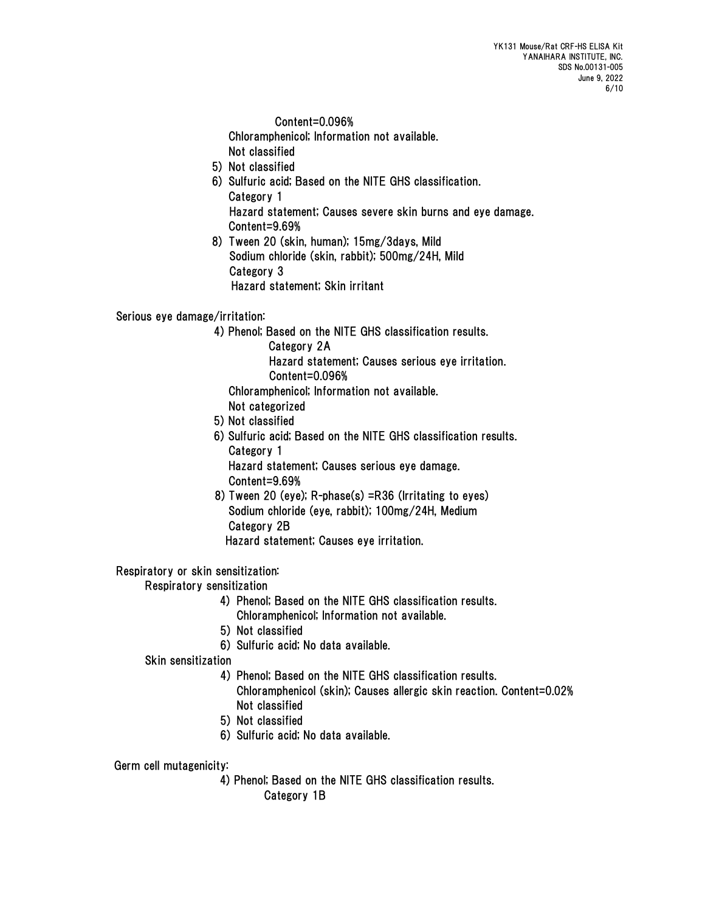Content=0.096%

Chloramphenicol; Information not available.

- Not classified
- 5) Not classified
- 6) Sulfuric acid; Based on the NITE GHS classification. Category 1 Hazard statement; Causes severe skin burns and eye damage. Content=9.69%
- 8) Tween 20 (skin, human); 15mg/3days, Mild Sodium chloride (skin, rabbit); 500mg/24H, Mild Category 3 Hazard statement; Skin irritant

Serious eye damage/irritation:

- 4) Phenol; Based on the NITE GHS classification results.
	- Category 2A

Hazard statement; Causes serious eye irritation.

Content=0.096% Chloramphenicol; Information not available.

- Not categorized
- 5) Not classified
- 6) Sulfuric acid; Based on the NITE GHS classification results. Category 1

Hazard statement; Causes serious eye damage. Content=9.69%

 8) Tween 20 (eye); R-phase(s) =R36 (Irritating to eyes) Sodium chloride (eye, rabbit); 100mg/24H, Medium Category 2B

Hazard statement; Causes eye irritation.

Respiratory or skin sensitization:

Respiratory sensitization

- 4) Phenol; Based on the NITE GHS classification results. Chloramphenicol; Information not available.
- 5) Not classified
- 6) Sulfuric acid; No data available.
- Skin sensitization
	- 4) Phenol; Based on the NITE GHS classification results. Chloramphenicol (skin); Causes allergic skin reaction. Content=0.02% Not classified
	- 5) Not classified
	- 6) Sulfuric acid; No data available.

Germ cell mutagenicity:

 4) Phenol; Based on the NITE GHS classification results. Category 1B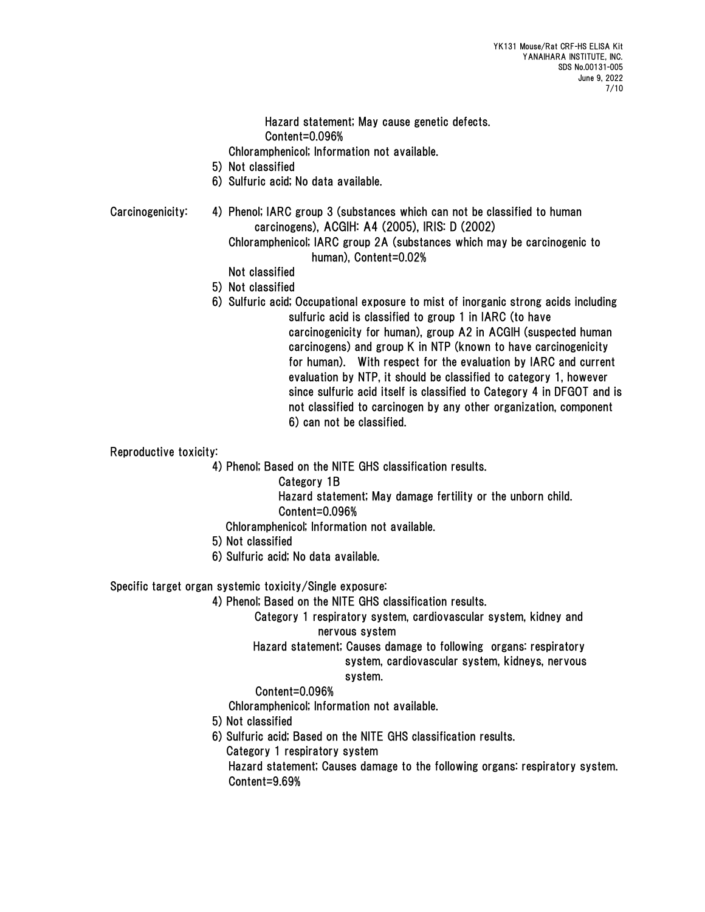Hazard statement; May cause genetic defects. Content=0.096%

Chloramphenicol; Information not available.

- 5) Not classified
- 6) Sulfuric acid; No data available.

Carcinogenicity: 4) Phenol; IARC group 3 (substances which can not be classified to human carcinogens), ACGIH: A4 (2005), IRIS: D (2002)

> Chloramphenicol; IARC group 2A (substances which may be carcinogenic to human), Content=0.02%

Not classified

- 5) Not classified
- 6) Sulfuric acid; Occupational exposure to mist of inorganic strong acids including sulfuric acid is classified to group 1 in IARC (to have carcinogenicity for human), group A2 in ACGIH (suspected human carcinogens) and group K in NTP (known to have carcinogenicity for human). With respect for the evaluation by IARC and current

evaluation by NTP, it should be classified to category 1, however since sulfuric acid itself is classified to Category 4 in DFGOT and is not classified to carcinogen by any other organization, component 6) can not be classified.

Reproductive toxicity:

4) Phenol; Based on the NITE GHS classification results.

Category 1B

Hazard statement; May damage fertility or the unborn child.

Content=0.096%

- Chloramphenicol; Information not available.
- 5) Not classified
- 6) Sulfuric acid; No data available.

Specific target organ systemic toxicity/Single exposure:

4) Phenol; Based on the NITE GHS classification results.

Category 1 respiratory system, cardiovascular system, kidney and nervous system

 Hazard statement; Causes damage to following organs: respiratory system, cardiovascular system, kidneys, nervous

# system.

## Content=0.096%

Chloramphenicol; Information not available.

- 5) Not classified
- 6) Sulfuric acid; Based on the NITE GHS classification results.
	- Category 1 respiratory system

 Hazard statement; Causes damage to the following organs: respiratory system. Content=9.69%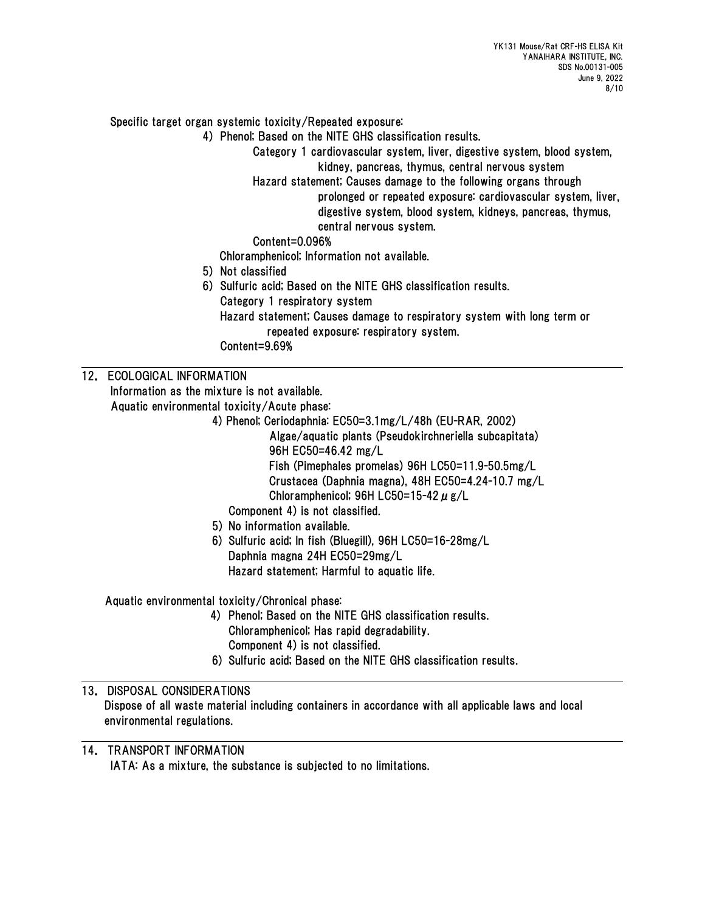Specific target organ systemic toxicity/Repeated exposure:

4) Phenol; Based on the NITE GHS classification results.

Category 1 cardiovascular system, liver, digestive system, blood system, kidney, pancreas, thymus, central nervous system

Hazard statement; Causes damage to the following organs through prolonged or repeated exposure: cardiovascular system, liver, digestive system, blood system, kidneys, pancreas, thymus, central nervous system.

Content=0.096%

Chloramphenicol; Information not available.

- 5) Not classified
- 6) Sulfuric acid; Based on the NITE GHS classification results.
	- Category 1 respiratory system
	- Hazard statement; Causes damage to respiratory system with long term or
		- repeated exposure: respiratory system.

Content=9.69%

# 12. ECOLOGICAL INFORMATION

 Information as the mixture is not available. Aquatic environmental toxicity/Acute phase:

 4) Phenol; Ceriodaphnia: EC50=3.1mg/L/48h (EU-RAR, 2002) Algae/aquatic plants (Pseudokirchneriella subcapitata) 96H EC50=46.42 mg/L Fish (Pimephales promelas) 96H LC50=11.9-50.5mg/L

- Crustacea (Daphnia magna), 48H EC50=4.24-10.7 mg/L Chloramphenicol; 96H LC50=15-42  $\mu$  g/L
- Component 4) is not classified.
- 5) No information available.
- 6) Sulfuric acid; In fish (Bluegill), 96H LC50=16-28mg/L Daphnia magna 24H EC50=29mg/L Hazard statement; Harmful to aquatic life.

Aquatic environmental toxicity/Chronical phase:

- 4) Phenol; Based on the NITE GHS classification results. Chloramphenicol; Has rapid degradability. Component 4) is not classified.
- 6) Sulfuric acid; Based on the NITE GHS classification results.

# 13. DISPOSAL CONSIDERATIONS

Dispose of all waste material including containers in accordance with all applicable laws and local environmental regulations.

# 14. TRANSPORT INFORMATION

IATA: As a mixture, the substance is subjected to no limitations.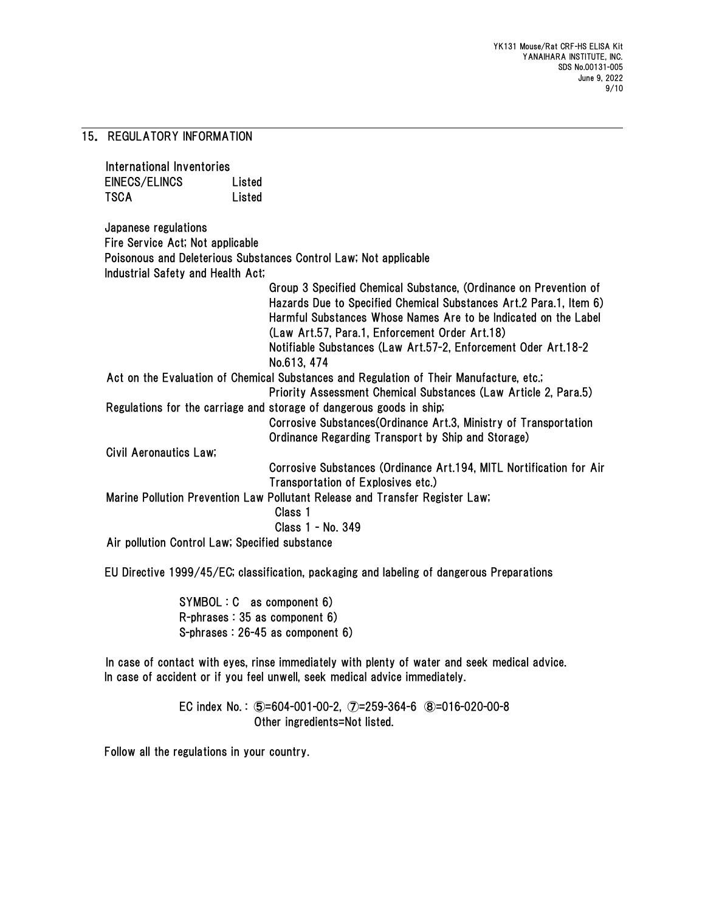## 15. REGULATORY INFORMATION

International Inventories EINECS/ELINCS Listed TSCA Listed

Japanese regulations Fire Service Act; Not applicable Poisonous and Deleterious Substances Control Law; Not applicable Industrial Safety and Health Act;

|                                                | Group 3 Specified Chemical Substance, (Ordinance on Prevention of                       |
|------------------------------------------------|-----------------------------------------------------------------------------------------|
|                                                | Hazards Due to Specified Chemical Substances Art. 2 Para. 1, Item 6)                    |
|                                                | Harmful Substances Whose Names Are to be Indicated on the Label                         |
|                                                | (Law Art.57, Para.1, Enforcement Order Art.18)                                          |
|                                                | Notifiable Substances (Law Art.57-2, Enforcement Oder Art.18-2                          |
|                                                | No.613, 474                                                                             |
|                                                | Act on the Evaluation of Chemical Substances and Regulation of Their Manufacture, etc.; |
|                                                | Priority Assessment Chemical Substances (Law Article 2, Para.5)                         |
|                                                | Regulations for the carriage and storage of dangerous goods in ship;                    |
|                                                | Corrosive Substances (Ordinance Art.3, Ministry of Transportation                       |
|                                                | Ordinance Regarding Transport by Ship and Storage)                                      |
| Civil Aeronautics Law;                         |                                                                                         |
|                                                | Corrosive Substances (Ordinance Art. 194, MITL Nortification for Air                    |
|                                                | Transportation of Explosives etc.)                                                      |
|                                                | Marine Pollution Prevention Law Pollutant Release and Transfer Register Law;            |
|                                                | Class 1                                                                                 |
|                                                | Class 1 - No. 349                                                                       |
| Air pollution Control Law; Specified substance |                                                                                         |

EU Directive 1999/45/EC; classification, packaging and labeling of dangerous Preparations

SYMBOL : C as component 6) R-phrases : 35 as component 6) S-phrases : 26-45 as component 6)

In case of contact with eyes, rinse immediately with plenty of water and seek medical advice. In case of accident or if you feel unwell, seek medical advice immediately.

> EC index No. : ⑤=604-001-00-2, ⑦=259-364-6 ⑧=016-020-00-8 Other ingredients=Not listed.

Follow all the regulations in your country.